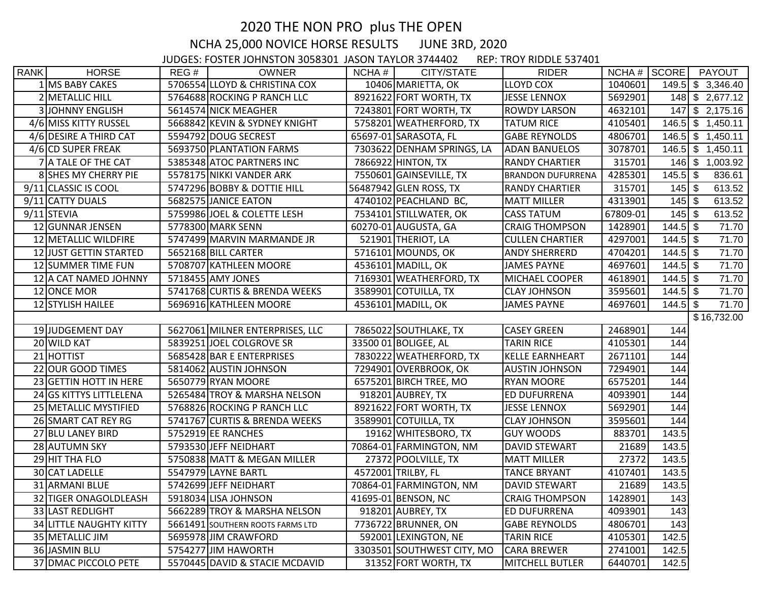## 2020 THE NON PRO plus THE OPEN NCHA 25,000 NOVICE HORSE RESULTS JUNE 3RD, 2020

JUDGES: FOSTER JOHNSTON 3058301 JASON TAYLOR 3744402 REP: TROY RIDDLE 537401

| <b>RANK</b> | <b>HORSE</b>                   | REG# | <b>OWNER</b>                     | NCHA# | CITY/STATE                 | <b>RIDER</b>             | $NCHA #$ $SCORE$ |            | PAYOUT              |
|-------------|--------------------------------|------|----------------------------------|-------|----------------------------|--------------------------|------------------|------------|---------------------|
|             | 1 MS BABY CAKES                |      | 5706554 LLOYD & CHRISTINA COX    |       | 10406 MARIETTA, OK         | <b>LLOYD COX</b>         | 1040601          |            | $149.5$ \$ 3,346.40 |
|             | 2 METALLIC HILL                |      | 5764688 ROCKING P RANCH LLC      |       | 8921622 FORT WORTH, TX     | <b>JESSE LENNOX</b>      | 5692901          |            | 148 \$ 2,677.12     |
|             | <b>3</b> JOHNNY ENGLISH        |      | 5614574 NICK MEAGHER             |       | 7243801 FORT WORTH, TX     | <b>ROWDY LARSON</b>      | 4632101          |            | $147$ \$ 2,175.16   |
|             | 4/6 MISS KITTY RUSSEL          |      | 5668842 KEVIN & SYDNEY KNIGHT    |       | 5758201 WEATHERFORD, TX    | <b>TATUM RICE</b>        | 4105401          |            | $146.5$ \$ 1,450.11 |
|             | 4/6 DESIRE A THIRD CAT         |      | 5594792 DOUG SECREST             |       | 65697-01 SARASOTA, FL      | <b>GABE REYNOLDS</b>     | 4806701          |            | $146.5$ \$ 1,450.11 |
|             | 4/6 CD SUPER FREAK             |      | 5693750 PLANTATION FARMS         |       | 7303622 DENHAM SPRINGS, LA | <b>ADAN BANUELOS</b>     | 3078701          |            | $146.5$ \$ 1,450.11 |
|             | 7 A TALE OF THE CAT            |      | 5385348 ATOC PARTNERS INC        |       | 7866922 HINTON, TX         | <b>RANDY CHARTIER</b>    | 315701           | $146$ \$   | 1,003.92            |
|             | 8 SHES MY CHERRY PIE           |      | 5578175 NIKKI VANDER ARK         |       | 7550601 GAINSEVILLE, TX    | <b>BRANDON DUFURRENA</b> | 4285301          | $145.5$ \$ | 836.61              |
|             | 9/11 CLASSIC IS COOL           |      | 5747296 BOBBY & DOTTIE HILL      |       | 56487942 GLEN ROSS, TX     | <b>RANDY CHARTIER</b>    | 315701           | $145$ \$   | 613.52              |
|             | 9/11 CATTY DUALS               |      | 5682575 JANICE EATON             |       | 4740102 PEACHLAND BC,      | <b>MATT MILLER</b>       | 4313901          | $145$ \$   | 613.52              |
|             | $9/11$ STEVIA                  |      | 5759986 JOEL & COLETTE LESH      |       | 7534101 STILLWATER, OK     | <b>CASS TATUM</b>        | 67809-01         | $145$ \$   | 613.52              |
|             | 12 GUNNAR JENSEN               |      | 5778300 MARK SENN                |       | 60270-01 AUGUSTA, GA       | <b>CRAIG THOMPSON</b>    | 1428901          |            | 71.70               |
|             | 12 METALLIC WILDFIRE           |      | 5747499 MARVIN MARMANDE JR       |       | 521901 THERIOT, LA         | <b>CULLEN CHARTIER</b>   | 4297001          | $144.5$ \$ | 71.70               |
|             | 12 JUST GETTIN STARTED         |      | 5652168 BILL CARTER              |       | 5716101 MOUNDS, OK         | <b>ANDY SHERRERD</b>     | 4704201          | $144.5$ \$ | 71.70               |
|             | 12 SUMMER TIME FUN             |      | 5708707 KATHLEEN MOORE           |       | 4536101 MADILL, OK         | <b>JAMES PAYNE</b>       | 4697601          | $144.5$ \$ | 71.70               |
|             | 12 A CAT NAMED JOHNNY          |      | 5718455 AMY JONES                |       | 7169301 WEATHERFORD, TX    | <b>MICHAEL COOPER</b>    | 4618901          | $144.5$ \$ | 71.70               |
|             | 12 ONCE MOR                    |      | 5741768 CURTIS & BRENDA WEEKS    |       | 3589901 COTUILLA, TX       | <b>CLAY JOHNSON</b>      | 3595601          | $144.5$ \$ | 71.70               |
|             | 12 STYLISH HAILEE              |      | 5696916 KATHLEEN MOORE           |       | 4536101 MADILL, OK         | <b>JAMES PAYNE</b>       | 4697601          | $144.5$ \$ | 71.70               |
|             |                                |      |                                  |       |                            |                          |                  |            | \$16,732.00         |
|             | 19JUDGEMENT DAY                |      | 5627061 MILNER ENTERPRISES, LLC  |       | 7865022 SOUTHLAKE, TX      | <b>CASEY GREEN</b>       | 2468901          | 144        |                     |
|             | 20 WILD KAT                    |      | 5839251 JOEL COLGROVE SR         |       | 33500 01 BOLIGEE, AL       | <b>TARIN RICE</b>        | 4105301          | 144        |                     |
|             | 21 HOTTIST                     |      | 5685428 BAR E ENTERPRISES        |       | 7830222 WEATHERFORD, TX    | <b>KELLE EARNHEART</b>   | 2671101          | 144        |                     |
|             | 22 OUR GOOD TIMES              |      | 5814062 AUSTIN JOHNSON           |       | 7294901 OVERBROOK, OK      | <b>AUSTIN JOHNSON</b>    | 7294901          | 144        |                     |
|             | 23 GETTIN HOTT IN HERE         |      | 5650779 RYAN MOORE               |       | 6575201 BIRCH TREE, MO     | <b>RYAN MOORE</b>        | 6575201          | 144        |                     |
|             | 24 GS KITTYS LITTLELENA        |      | 5265484 TROY & MARSHA NELSON     |       | 918201 AUBREY, TX          | <b>ED DUFURRENA</b>      | 4093901          | 144        |                     |
|             | 25 METALLIC MYSTIFIED          |      | 5768826 ROCKING P RANCH LLC      |       | 8921622 FORT WORTH, TX     | <b>JESSE LENNOX</b>      | 5692901          | 144        |                     |
|             | 26 SMART CAT REY RG            |      | 5741767 CURTIS & BRENDA WEEKS    |       | 3589901 COTUILLA, TX       | <b>CLAY JOHNSON</b>      | 3595601          | 144        |                     |
|             | 27 BLU LANEY BIRD              |      | 5752919 EE RANCHES               |       | 19162 WHITESBORO, TX       | <b>GUY WOODS</b>         | 883701           | 143.5      |                     |
|             | 28 AUTUMN SKY                  |      | 5793530 JEFF NEIDHART            |       | 70864-01 FARMINGTON, NM    | <b>DAVID STEWART</b>     | 21689            | 143.5      |                     |
|             | 29 HIT THA FLO                 |      | 5750838 MATT & MEGAN MILLER      |       | 27372 POOLVILLE, TX        | <b>MATT MILLER</b>       | 27372            | 143.5      |                     |
|             | 30 CAT LADELLE                 |      | 5547979 LAYNE BARTL              |       | 4572001 TRILBY, FL         | <b>TANCE BRYANT</b>      | 4107401          | 143.5      |                     |
|             | 31 ARMANI BLUE                 |      | 5742699 JEFF NEIDHART            |       | 70864-01 FARMINGTON, NM    | DAVID STEWART            | 21689            | 143.5      |                     |
|             | 32 TIGER ONAGOLDLEASH          |      | 5918034 LISA JOHNSON             |       | 41695-01 BENSON, NC        | <b>CRAIG THOMPSON</b>    | 1428901          | 143        |                     |
|             | 33 LAST REDLIGHT               |      | 5662289 TROY & MARSHA NELSON     |       | 918201 AUBREY, TX          | ED DUFURRENA             | 4093901          | 143        |                     |
|             | <b>34 LITTLE NAUGHTY KITTY</b> |      | 5661491 SOUTHERN ROOTS FARMS LTD |       | 7736722 BRUNNER, ON        | <b>GABE REYNOLDS</b>     | 4806701          | 143        |                     |
|             | 35 METALLIC JIM                |      | 5695978 JIM CRAWFORD             |       | 592001 LEXINGTON, NE       | <b>TARIN RICE</b>        | 4105301          | 142.5      |                     |
|             | 36 JASMIN BLU                  |      | 5754277 JIM HAWORTH              |       | 3303501 SOUTHWEST CITY, MO | <b>CARA BREWER</b>       | 2741001          | 142.5      |                     |
|             | 37 DMAC PICCOLO PETE           |      | 5570445 DAVID & STACIE MCDAVID   |       | 31352 FORT WORTH, TX       | <b>MITCHELL BUTLER</b>   | 6440701          | 142.5      |                     |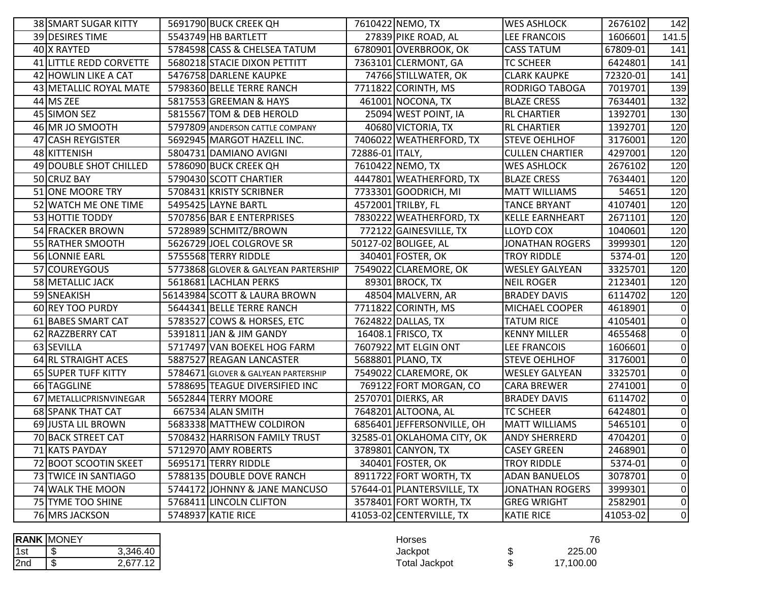| 38 SMART SUGAR KITTY      | 5691790 BUCK CREEK QH               |                 | 7610422 NEMO, TX           | <b>WES ASHLOCK</b>     | 2676102  | 142            |
|---------------------------|-------------------------------------|-----------------|----------------------------|------------------------|----------|----------------|
| 39 DESIRES TIME           | 5543749 HB BARTLETT                 |                 | 27839 PIKE ROAD, AL        | <b>LEE FRANCOIS</b>    | 1606601  | 141.5          |
| 40 X RAYTED               | 5784598 CASS & CHELSEA TATUM        |                 | 6780901 OVERBROOK, OK      | <b>CASS TATUM</b>      | 67809-01 | 141            |
| 41 LITTLE REDD CORVETTE   | 5680218 STACIE DIXON PETTITT        |                 | 7363101 CLERMONT, GA       | <b>TC SCHEER</b>       | 6424801  | 141            |
| 42 HOWLIN LIKE A CAT      | 5476758 DARLENE KAUPKE              |                 | 74766 STILLWATER, OK       | <b>CLARK KAUPKE</b>    | 72320-01 | 141            |
| 43 METALLIC ROYAL MATE    | 5798360 BELLE TERRE RANCH           |                 | 7711822 CORINTH, MS        | RODRIGO TABOGA         | 7019701  | 139            |
| 44 MS ZEE                 | 5817553 GREEMAN & HAYS              |                 | 461001 NOCONA, TX          | <b>BLAZE CRESS</b>     | 7634401  | 132            |
| 45 SIMON SEZ              | 5815567 TOM & DEB HEROLD            |                 | 25094 WEST POINT, IA       | <b>RL CHARTIER</b>     | 1392701  | 130            |
| 46 MR JO SMOOTH           | 5797809 ANDERSON CATTLE COMPANY     |                 | 40680 VICTORIA, TX         | <b>RL CHARTIER</b>     | 1392701  | 120            |
| 47 CASH REYGISTER         | 5692945 MARGOT HAZELL INC.          |                 | 7406022 WEATHERFORD, TX    | <b>STEVE OEHLHOF</b>   | 3176001  | 120            |
| 48 KITTENISH              | 5804731 DAMIANO AVIGNI              | 72886-01 ITALY, |                            | <b>CULLEN CHARTIER</b> | 4297001  | 120            |
| 49 DOUBLE SHOT CHILLED    | 5786090 BUCK CREEK QH               |                 | 7610422 NEMO, TX           | <b>WES ASHLOCK</b>     | 2676102  | 120            |
| 50 CRUZ BAY               | 5790430 SCOTT CHARTIER              |                 | 4447801 WEATHERFORD, TX    | <b>BLAZE CRESS</b>     | 7634401  | 120            |
| 51 ONE MOORE TRY          | 5708431 KRISTY SCRIBNER             |                 | 7733301 GOODRICH, MI       | <b>MATT WILLIAMS</b>   | 54651    | 120            |
| 52 WATCH ME ONE TIME      | 5495425 LAYNE BARTL                 |                 | 4572001 TRILBY, FL         | <b>TANCE BRYANT</b>    | 4107401  | 120            |
| 53 HOTTIE TODDY           | 5707856 BAR E ENTERPRISES           |                 | 7830222 WEATHERFORD, TX    | <b>KELLE EARNHEART</b> | 2671101  | 120            |
| 54 FRACKER BROWN          | 5728989 SCHMITZ/BROWN               |                 | 772122 GAINESVILLE, TX     | <b>LLOYD COX</b>       | 1040601  | 120            |
| 55 RATHER SMOOTH          | 5626729 JOEL COLGROVE SR            |                 | 50127-02 BOLIGEE, AL       | <b>JONATHAN ROGERS</b> | 3999301  | 120            |
| 56 LONNIE EARL            | 5755568 TERRY RIDDLE                |                 | 340401 FOSTER, OK          | <b>TROY RIDDLE</b>     | 5374-01  | 120            |
| 57 COUREYGOUS             | 5773868 GLOVER & GALYEAN PARTERSHIP |                 | 7549022 CLAREMORE, OK      | <b>WESLEY GALYEAN</b>  | 3325701  | 120            |
| 58 METALLIC JACK          | 5618681 LACHLAN PERKS               |                 | 89301 BROCK, TX            | <b>NEIL ROGER</b>      | 2123401  | 120            |
| 59 SNEAKISH               | 56143984 SCOTT & LAURA BROWN        |                 | 48504 MALVERN, AR          | <b>BRADEY DAVIS</b>    | 6114702  | 120            |
| 60 REY TOO PURDY          | 5644341 BELLE TERRE RANCH           |                 | 7711822 CORINTH, MS        | MICHAEL COOPER         | 4618901  | $\overline{0}$ |
| 61 BABES SMART CAT        | 5783527 COWS & HORSES, ETC          |                 | 7624822 DALLAS, TX         | <b>TATUM RICE</b>      | 4105401  | $\overline{0}$ |
| 62 RAZZBERRY CAT          | 5391811 JAN & JIM GANDY             |                 | 16408.1 FRISCO, TX         | <b>KENNY MILLER</b>    | 4655468  | $\overline{0}$ |
| 63 SEVILLA                | 5717497 VAN BOEKEL HOG FARM         |                 | 7607922 MT ELGIN ONT       | <b>LEE FRANCOIS</b>    | 1606601  | $\overline{0}$ |
| 64 RL STRAIGHT ACES       | 5887527 REAGAN LANCASTER            |                 | 5688801 PLANO, TX          | <b>STEVE OEHLHOF</b>   | 3176001  | $\overline{0}$ |
| 65 SUPER TUFF KITTY       | 5784671 GLOVER & GALYEAN PARTERSHIP |                 | 7549022 CLAREMORE, OK      | <b>WESLEY GALYEAN</b>  | 3325701  | $\overline{0}$ |
| 66 TAGGLINE               | 5788695 TEAGUE DIVERSIFIED INC      |                 | 769122 FORT MORGAN, CO     | <b>CARA BREWER</b>     | 2741001  | $\overline{0}$ |
| 67 METALLICPRISNVINEGAR   | 5652844 TERRY MOORE                 |                 | 2570701 DIERKS, AR         | <b>BRADEY DAVIS</b>    | 6114702  | $\mathbf 0$    |
| <b>68 SPANK THAT CAT</b>  | 667534 ALAN SMITH                   |                 | 7648201 ALTOONA, AL        | <b>TC SCHEER</b>       | 6424801  | $\overline{0}$ |
| 69 JUSTA LIL BROWN        | 5683338 MATTHEW COLDIRON            |                 | 6856401 JEFFERSONVILLE, OH | <b>MATT WILLIAMS</b>   | 5465101  | $\overline{0}$ |
| <b>70 BACK STREET CAT</b> | 5708432 HARRISON FAMILY TRUST       |                 | 32585-01 OKLAHOMA CITY, OK | <b>ANDY SHERRERD</b>   | 4704201  | $\overline{0}$ |
| <b>71 KATS PAYDAY</b>     | 5712970 AMY ROBERTS                 |                 | 3789801 CANYON, TX         | <b>CASEY GREEN</b>     | 2468901  | $\overline{0}$ |
| 72 BOOT SCOOTIN SKEET     | 5695171 TERRY RIDDLE                |                 | 340401 FOSTER, OK          | <b>TROY RIDDLE</b>     | 5374-01  | $\overline{0}$ |
| 73 TWICE IN SANTIAGO      | 5788135 DOUBLE DOVE RANCH           |                 | 8911722 FORT WORTH, TX     | <b>ADAN BANUELOS</b>   | 3078701  | $\overline{0}$ |
| 74 WALK THE MOON          | 5744172 JOHNNY & JANE MANCUSO       |                 | 57644-01 PLANTERSVILLE, TX | <b>JONATHAN ROGERS</b> | 3999301  | $\pmb{0}$      |
| 75 TYME TOO SHINE         | 5768411 LINCOLN CLIFTON             |                 | 3578401 FORT WORTH, TX     | <b>GREG WRIGHT</b>     | 2582901  | $\overline{0}$ |
| 76 MRS JACKSON            | 5748937 KATIE RICE                  |                 | 41053-02 CENTERVILLE, TX   | <b>KATIE RICE</b>      | 41053-02 | $\overline{0}$ |

|     | <b>RANK MONEY</b> |          |
|-----|-------------------|----------|
| 1st |                   | 3,346.40 |
| 2nd |                   | 2.677.12 |

|     | <b>RANK MONEY</b>     | Horses               | 76      |
|-----|-----------------------|----------------------|---------|
| 1st | 3,346.40<br>-11       | Jackpot              | 225.00  |
| 2nd | 27740<br>-11<br>— 1 U | <b>Total Jackpot</b> | .100.00 |